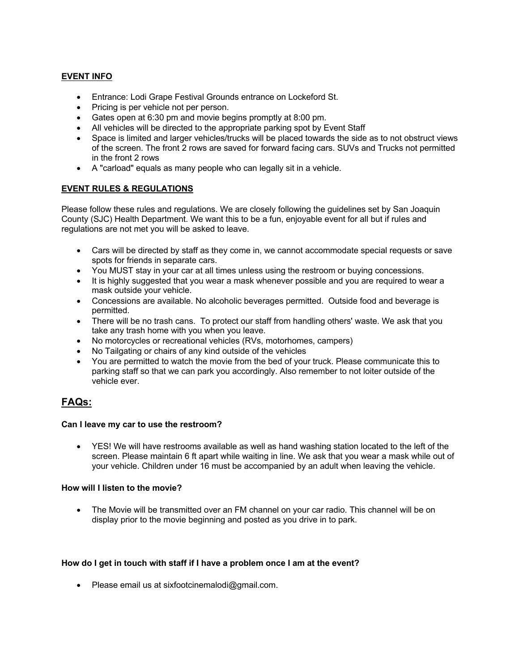## **EVENT INFO**

- Entrance: Lodi Grape Festival Grounds entrance on Lockeford St.
- Pricing is per vehicle not per person.
- Gates open at 6:30 pm and movie begins promptly at 8:00 pm.
- All vehicles will be directed to the appropriate parking spot by Event Staff
- Space is limited and larger vehicles/trucks will be placed towards the side as to not obstruct views of the screen. The front 2 rows are saved for forward facing cars. SUVs and Trucks not permitted in the front 2 rows
- A "carload" equals as many people who can legally sit in a vehicle.

## **EVENT RULES & REGULATIONS**

Please follow these rules and regulations. We are closely following the guidelines set by San Joaquin County (SJC) Health Department. We want this to be a fun, enjoyable event for all but if rules and regulations are not met you will be asked to leave.

- Cars will be directed by staff as they come in, we cannot accommodate special requests or save spots for friends in separate cars.
- You MUST stay in your car at all times unless using the restroom or buying concessions.
- It is highly suggested that you wear a mask whenever possible and you are required to wear a mask outside your vehicle.
- Concessions are available. No alcoholic beverages permitted. Outside food and beverage is permitted.
- There will be no trash cans. To protect our staff from handling others' waste. We ask that you take any trash home with you when you leave.
- No motorcycles or recreational vehicles (RVs, motorhomes, campers)
- No Tailgating or chairs of any kind outside of the vehicles
- You are permitted to watch the movie from the bed of your truck. Please communicate this to parking staff so that we can park you accordingly. Also remember to not loiter outside of the vehicle ever.

# **FAQs:**

#### **Can I leave my car to use the restroom?**

• YES! We will have restrooms available as well as hand washing station located to the left of the screen. Please maintain 6 ft apart while waiting in line. We ask that you wear a mask while out of your vehicle. Children under 16 must be accompanied by an adult when leaving the vehicle.

#### **How will I listen to the movie?**

• The Movie will be transmitted over an FM channel on your car radio. This channel will be on display prior to the movie beginning and posted as you drive in to park.

#### **How do I get in touch with staff if I have a problem once I am at the event?**

• Please email us at sixfootcinemalodi@gmail.com.